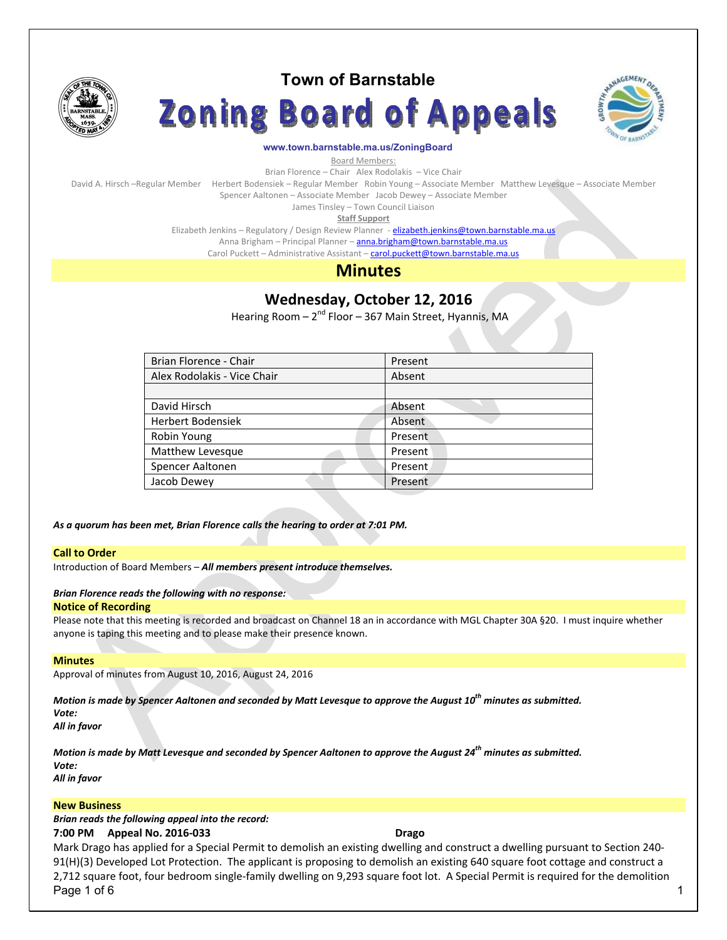

# **Town of Barnstable**

**Zoning Board of Appeals** 



#### **www.town.barnstable.ma.us/ZoningBoard**

Board Members:

Brian Florence – Chair Alex Rodolakis – Vice Chair

David A. Hirsch –Regular Member Herbert Bodensiek – Regular Member Robin Young – Associate Member Matthew Levesque – Associate Member

Spencer Aaltonen – Associate Member Jacob Dewey – Associate Member James Tinsley – Town Council Liaison

**Staff Support** 

Elizabeth Jenkins - Regulatory / Design Review Planner - elizabeth.jenkins@town.barnstable.ma.us

Anna Brigham – Principal Planner – anna.brigham@town.barnstable.ma.us

Carol Puckett – Administrative Assistant – carol.puckett@town.barnstable.ma.us

# **Minutes**

**Wednesday, October 12, 2016** 

Hearing Room  $-2^{nd}$  Floor  $-367$  Main Street, Hyannis, MA

| Brian Florence - Chair      | Present  |
|-----------------------------|----------|
| Alex Rodolakis - Vice Chair | Absent   |
|                             |          |
| David Hirsch                | Absent   |
| <b>Herbert Bodensiek</b>    | Absent   |
| Robin Young                 | Present  |
| Matthew Levesque            | Present  |
| Spencer Aaltonen            | Present. |
| Jacob Dewey                 | Present  |

*As a quorum has been met, Brian Florence calls the hearing to order at 7:01 PM.* 

# **Call to Order**

Introduction of Board Members – *All members present introduce themselves.* 

#### *Brian Florence reads the following with no response:*

#### **Notice of Recording**

Please note that this meeting is recorded and broadcast on Channel 18 an in accordance with MGL Chapter 30A §20. I must inquire whether anyone is taping this meeting and to please make their presence known.

#### **Minutes**

Approval of minutes from August 10, 2016, August 24, 2016

*Motion is made by Spencer Aaltonen and seconded by Matt Levesque to approve the August 10th minutes as submitted. Vote:* 

*All in favor* 

*Motion is made by Matt Levesque and seconded by Spencer Aaltonen to approve the August 24th minutes as submitted. Vote: All in favor* 

#### **New Business**

*Brian reads the following appeal into the record:* 

# **7:00 PM Appeal No. 2016-033 Drago**

Page 1 of 6 1 and 2012 1 and 2012 1 and 2012 1 and 2012 1 and 2012 1 and 2012 1 and 2012 1 and 2012 1 and 2012 Mark Drago has applied for a Special Permit to demolish an existing dwelling and construct a dwelling pursuant to Section 240- 91(H)(3) Developed Lot Protection. The applicant is proposing to demolish an existing 640 square foot cottage and construct a 2,712 square foot, four bedroom single-family dwelling on 9,293 square foot lot. A Special Permit is required for the demolition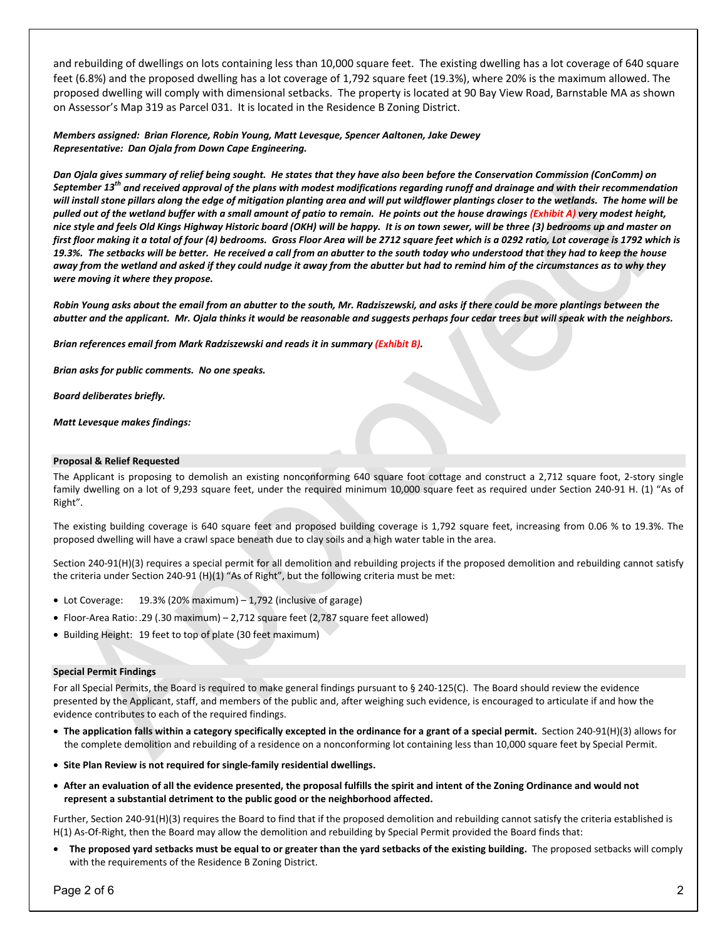and rebuilding of dwellings on lots containing less than 10,000 square feet. The existing dwelling has a lot coverage of 640 square feet (6.8%) and the proposed dwelling has a lot coverage of 1,792 square feet (19.3%), where 20% is the maximum allowed. The proposed dwelling will comply with dimensional setbacks. The property is located at 90 Bay View Road, Barnstable MA as shown on Assessor's Map 319 as Parcel 031. It is located in the Residence B Zoning District.

# *Members assigned: Brian Florence, Robin Young, Matt Levesque, Spencer Aaltonen, Jake Dewey Representative: Dan Ojala from Down Cape Engineering.*

*Dan Ojala gives summary of relief being sought. He states that they have also been before the Conservation Commission (ConComm) on September 13th and received approval of the plans with modest modifications regarding runoff and drainage and with their recommendation will install stone pillars along the edge of mitigation planting area and will put wildflower plantings closer to the wetlands. The home will be pulled out of the wetland buffer with a small amount of patio to remain. He points out the house drawings (Exhibit A) very modest height, nice style and feels Old Kings Highway Historic board (OKH) will be happy. It is on town sewer, will be three (3) bedrooms up and master on first floor making it a total of four (4) bedrooms. Gross Floor Area will be 2712 square feet which is a 0292 ratio, Lot coverage is 1792 which is 19.3%. The setbacks will be better. He received a call from an abutter to the south today who understood that they had to keep the house away from the wetland and asked if they could nudge it away from the abutter but had to remind him of the circumstances as to why they were moving it where they propose.* 

*Robin Young asks about the email from an abutter to the south, Mr. Radziszewski, and asks if there could be more plantings between the abutter and the applicant. Mr. Ojala thinks it would be reasonable and suggests perhaps four cedar trees but will speak with the neighbors.* 

*Brian references email from Mark Radziszewski and reads it in summary (Exhibit B).* 

*Brian asks for public comments. No one speaks.* 

*Board deliberates briefly.* 

*Matt Levesque makes findings:* 

#### **Proposal & Relief Requested**

The Applicant is proposing to demolish an existing nonconforming 640 square foot cottage and construct a 2,712 square foot, 2-story single family dwelling on a lot of 9,293 square feet, under the required minimum 10,000 square feet as required under Section 240-91 H. (1) "As of Right".

The existing building coverage is 640 square feet and proposed building coverage is 1,792 square feet, increasing from 0.06 % to 19.3%. The proposed dwelling will have a crawl space beneath due to clay soils and a high water table in the area.

Section 240-91(H)(3) requires a special permit for all demolition and rebuilding projects if the proposed demolition and rebuilding cannot satisfy the criteria under Section 240-91 (H)(1) "As of Right", but the following criteria must be met:

- Lot Coverage:  $19.3\%$  (20% maximum) 1,792 (inclusive of garage)
- Floor-Area Ratio: .29 (.30 maximum) 2,712 square feet (2,787 square feet allowed)
- Building Height: 19 feet to top of plate (30 feet maximum)

# **Special Permit Findings**

For all Special Permits, the Board is required to make general findings pursuant to § 240-125(C). The Board should review the evidence presented by the Applicant, staff, and members of the public and, after weighing such evidence, is encouraged to articulate if and how the evidence contributes to each of the required findings.

- **The application falls within a category specifically excepted in the ordinance for a grant of a special permit.** Section 240-91(H)(3) allows for the complete demolition and rebuilding of a residence on a nonconforming lot containing less than 10,000 square feet by Special Permit.
- **Site Plan Review is not required for single-family residential dwellings.**
- **After an evaluation of all the evidence presented, the proposal fulfills the spirit and intent of the Zoning Ordinance and would not represent a substantial detriment to the public good or the neighborhood affected.**

Further, Section 240-91(H)(3) requires the Board to find that if the proposed demolition and rebuilding cannot satisfy the criteria established is H(1) As-Of-Right, then the Board may allow the demolition and rebuilding by Special Permit provided the Board finds that:

• **The proposed yard setbacks must be equal to or greater than the yard setbacks of the existing building.** The proposed setbacks will comply with the requirements of the Residence B Zoning District.

Page 2 of 6 2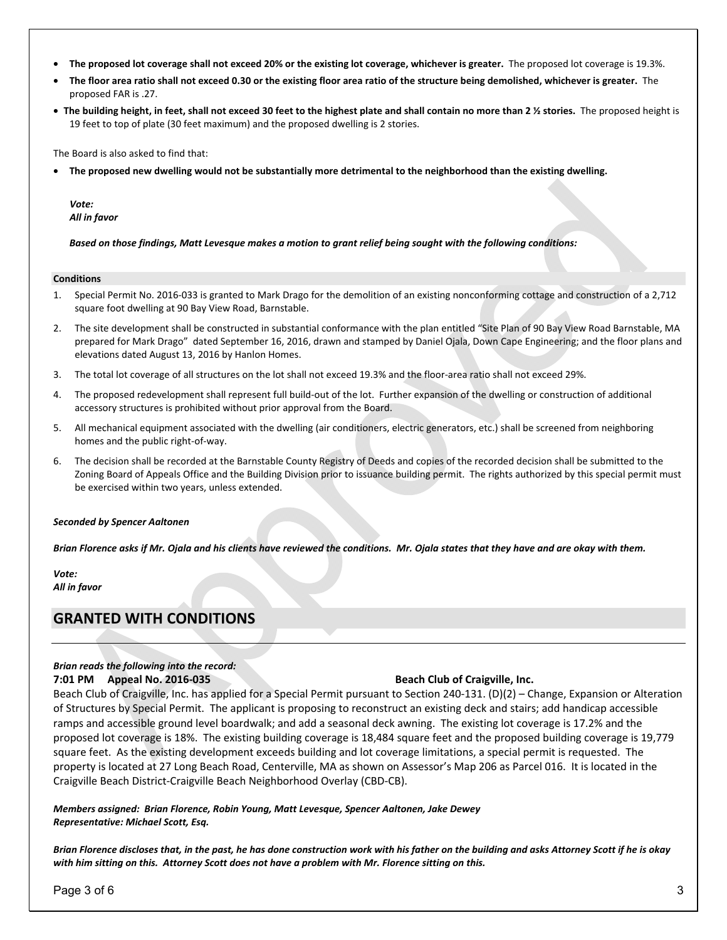- **The proposed lot coverage shall not exceed 20% or the existing lot coverage, whichever is greater.** The proposed lot coverage is 19.3%.
- **The floor area ratio shall not exceed 0.30 or the existing floor area ratio of the structure being demolished, whichever is greater.** The proposed FAR is .27.
- **The building height, in feet, shall not exceed 30 feet to the highest plate and shall contain no more than 2 ½ stories.** The proposed height is 19 feet to top of plate (30 feet maximum) and the proposed dwelling is 2 stories.

The Board is also asked to find that:

• **The proposed new dwelling would not be substantially more detrimental to the neighborhood than the existing dwelling.** 

*Vote: All in favor* 

*Based on those findings, Matt Levesque makes a motion to grant relief being sought with the following conditions:* 

#### **Conditions**

- 1. Special Permit No. 2016-033 is granted to Mark Drago for the demolition of an existing nonconforming cottage and construction of a 2,712 square foot dwelling at 90 Bay View Road, Barnstable.
- 2. The site development shall be constructed in substantial conformance with the plan entitled "Site Plan of 90 Bay View Road Barnstable, MA prepared for Mark Drago" dated September 16, 2016, drawn and stamped by Daniel Ojala, Down Cape Engineering; and the floor plans and elevations dated August 13, 2016 by Hanlon Homes.
- 3. The total lot coverage of all structures on the lot shall not exceed 19.3% and the floor-area ratio shall not exceed 29%.
- 4. The proposed redevelopment shall represent full build-out of the lot. Further expansion of the dwelling or construction of additional accessory structures is prohibited without prior approval from the Board.
- 5. All mechanical equipment associated with the dwelling (air conditioners, electric generators, etc.) shall be screened from neighboring homes and the public right-of-way.
- 6. The decision shall be recorded at the Barnstable County Registry of Deeds and copies of the recorded decision shall be submitted to the Zoning Board of Appeals Office and the Building Division prior to issuance building permit. The rights authorized by this special permit must be exercised within two years, unless extended.

# *Seconded by Spencer Aaltonen*

*Brian Florence asks if Mr. Ojala and his clients have reviewed the conditions. Mr. Ojala states that they have and are okay with them.* 

*Vote: All in favor* 

# **GRANTED WITH CONDITIONS**

# *Brian reads the following into the record:*

# **7:01 PM Appeal No. 2016-035 Beach Club of Craigville, Inc.**

Beach Club of Craigville, Inc. has applied for a Special Permit pursuant to Section 240-131. (D)(2) – Change, Expansion or Alteration of Structures by Special Permit. The applicant is proposing to reconstruct an existing deck and stairs; add handicap accessible ramps and accessible ground level boardwalk; and add a seasonal deck awning. The existing lot coverage is 17.2% and the proposed lot coverage is 18%. The existing building coverage is 18,484 square feet and the proposed building coverage is 19,779 square feet. As the existing development exceeds building and lot coverage limitations, a special permit is requested. The property is located at 27 Long Beach Road, Centerville, MA as shown on Assessor's Map 206 as Parcel 016. It is located in the Craigville Beach District-Craigville Beach Neighborhood Overlay (CBD-CB).

# *Members assigned: Brian Florence, Robin Young, Matt Levesque, Spencer Aaltonen, Jake Dewey Representative: Michael Scott, Esq.*

*Brian Florence discloses that, in the past, he has done construction work with his father on the building and asks Attorney Scott if he is okay with him sitting on this. Attorney Scott does not have a problem with Mr. Florence sitting on this.*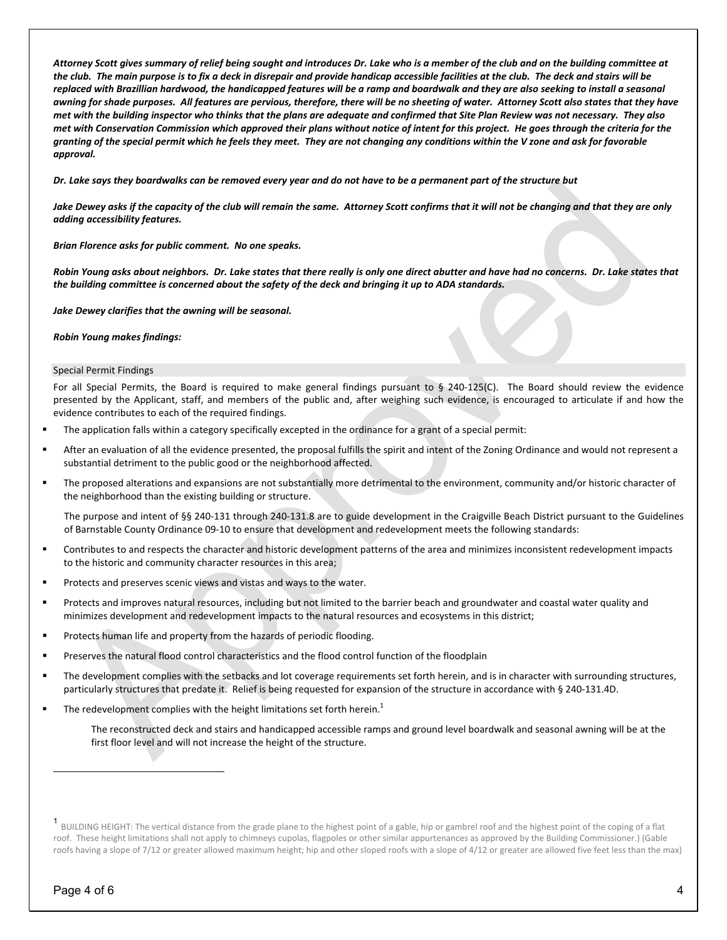*Attorney Scott gives summary of relief being sought and introduces Dr. Lake who is a member of the club and on the building committee at the club. The main purpose is to fix a deck in disrepair and provide handicap accessible facilities at the club. The deck and stairs will be replaced with Brazillian hardwood, the handicapped features will be a ramp and boardwalk and they are also seeking to install a seasonal awning for shade purposes. All features are pervious, therefore, there will be no sheeting of water. Attorney Scott also states that they have met with the building inspector who thinks that the plans are adequate and confirmed that Site Plan Review was not necessary. They also met with Conservation Commission which approved their plans without notice of intent for this project. He goes through the criteria for the granting of the special permit which he feels they meet. They are not changing any conditions within the V zone and ask for favorable approval.* 

*Dr. Lake says they boardwalks can be removed every year and do not have to be a permanent part of the structure but* 

*Jake Dewey asks if the capacity of the club will remain the same. Attorney Scott confirms that it will not be changing and that they are only adding accessibility features.* 

*Brian Florence asks for public comment. No one speaks.* 

*Robin Young asks about neighbors. Dr. Lake states that there really is only one direct abutter and have had no concerns. Dr. Lake states that the building committee is concerned about the safety of the deck and bringing it up to ADA standards.* 

*Jake Dewey clarifies that the awning will be seasonal.* 

*Robin Young makes findings:* 

### Special Permit Findings

For all Special Permits, the Board is required to make general findings pursuant to § 240-125(C). The Board should review the evidence presented by the Applicant, staff, and members of the public and, after weighing such evidence, is encouraged to articulate if and how the evidence contributes to each of the required findings.

- The application falls within a category specifically excepted in the ordinance for a grant of a special permit:
- After an evaluation of all the evidence presented, the proposal fulfills the spirit and intent of the Zoning Ordinance and would not represent a substantial detriment to the public good or the neighborhood affected.
- The proposed alterations and expansions are not substantially more detrimental to the environment, community and/or historic character of the neighborhood than the existing building or structure.

The purpose and intent of §§ 240-131 through 240-131.8 are to guide development in the Craigville Beach District pursuant to the Guidelines of Barnstable County Ordinance 09-10 to ensure that development and redevelopment meets the following standards:

- Contributes to and respects the character and historic development patterns of the area and minimizes inconsistent redevelopment impacts to the historic and community character resources in this area;
- Protects and preserves scenic views and vistas and ways to the water.
- Protects and improves natural resources, including but not limited to the barrier beach and groundwater and coastal water quality and minimizes development and redevelopment impacts to the natural resources and ecosystems in this district;
- Protects human life and property from the hazards of periodic flooding.
- Preserves the natural flood control characteristics and the flood control function of the floodplain
- The development complies with the setbacks and lot coverage requirements set forth herein, and is in character with surrounding structures, particularly structures that predate it. Relief is being requested for expansion of the structure in accordance with § 240-131.4D.
- The redevelopment complies with the height limitations set forth herein.<sup>1</sup>

The reconstructed deck and stairs and handicapped accessible ramps and ground level boardwalk and seasonal awning will be at the first floor level and will not increase the height of the structure.

<sup>1</sup> BUILDING HEIGHT: The vertical distance from the grade plane to the highest point of a gable, hip or gambrel roof and the highest point of the coping of a flat roof. These height limitations shall not apply to chimneys cupolas, flagpoles or other similar appurtenances as approved by the Building Commissioner.) (Gable roofs having a slope of 7/12 or greater allowed maximum height; hip and other sloped roofs with a slope of 4/12 or greater are allowed five feet less than the max)

l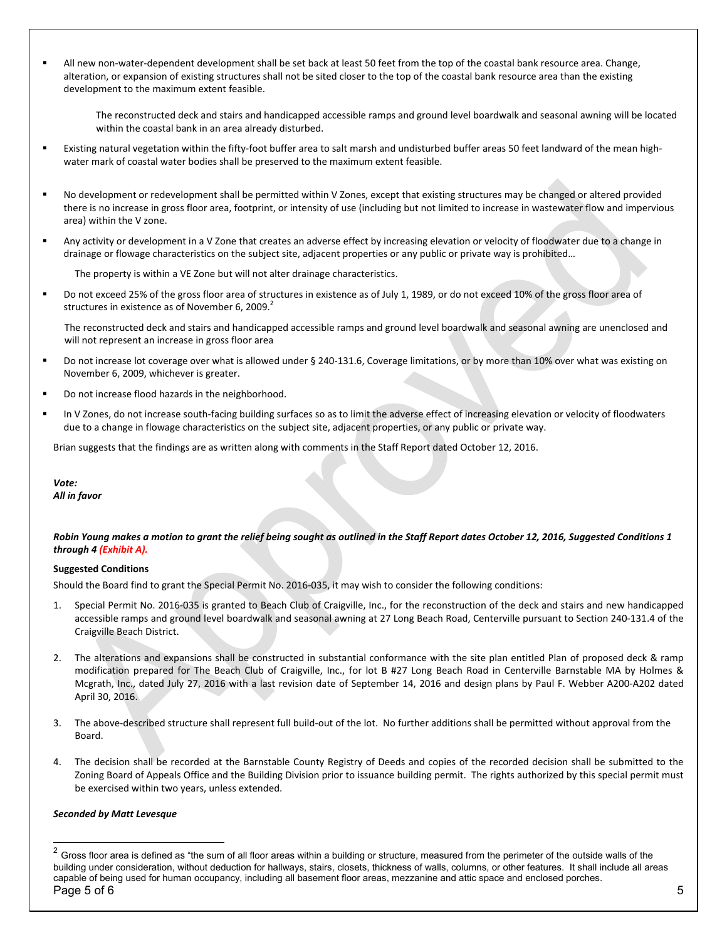All new non-water-dependent development shall be set back at least 50 feet from the top of the coastal bank resource area. Change, alteration, or expansion of existing structures shall not be sited closer to the top of the coastal bank resource area than the existing development to the maximum extent feasible.

The reconstructed deck and stairs and handicapped accessible ramps and ground level boardwalk and seasonal awning will be located within the coastal bank in an area already disturbed.

- Existing natural vegetation within the fifty-foot buffer area to salt marsh and undisturbed buffer areas 50 feet landward of the mean highwater mark of coastal water bodies shall be preserved to the maximum extent feasible.
- No development or redevelopment shall be permitted within V Zones, except that existing structures may be changed or altered provided there is no increase in gross floor area, footprint, or intensity of use (including but not limited to increase in wastewater flow and impervious area) within the V zone.
- Any activity or development in a V Zone that creates an adverse effect by increasing elevation or velocity of floodwater due to a change in drainage or flowage characteristics on the subject site, adjacent properties or any public or private way is prohibited…

The property is within a VE Zone but will not alter drainage characteristics.

 Do not exceed 25% of the gross floor area of structures in existence as of July 1, 1989, or do not exceed 10% of the gross floor area of structures in existence as of November 6, 2009. $<sup>2</sup>$ </sup>

The reconstructed deck and stairs and handicapped accessible ramps and ground level boardwalk and seasonal awning are unenclosed and will not represent an increase in gross floor area

- Do not increase lot coverage over what is allowed under § 240-131.6, Coverage limitations, or by more than 10% over what was existing on November 6, 2009, whichever is greater.
- Do not increase flood hazards in the neighborhood.
- In V Zones, do not increase south-facing building surfaces so as to limit the adverse effect of increasing elevation or velocity of floodwaters due to a change in flowage characteristics on the subject site, adjacent properties, or any public or private way.

Brian suggests that the findings are as written along with comments in the Staff Report dated October 12, 2016.

#### *Vote:*

*All in favor* 

#### *Robin Young makes a motion to grant the relief being sought as outlined in the Staff Report dates October 12, 2016, Suggested Conditions 1 through 4 (Exhibit A).*

#### **Suggested Conditions**

Should the Board find to grant the Special Permit No. 2016-035, it may wish to consider the following conditions:

- 1. Special Permit No. 2016-035 is granted to Beach Club of Craigville, Inc., for the reconstruction of the deck and stairs and new handicapped accessible ramps and ground level boardwalk and seasonal awning at 27 Long Beach Road, Centerville pursuant to Section 240-131.4 of the Craigville Beach District.
- 2. The alterations and expansions shall be constructed in substantial conformance with the site plan entitled Plan of proposed deck & ramp modification prepared for The Beach Club of Craigville, Inc., for lot B #27 Long Beach Road in Centerville Barnstable MA by Holmes & Mcgrath, Inc., dated July 27, 2016 with a last revision date of September 14, 2016 and design plans by Paul F. Webber A200-A202 dated April 30, 2016.
- 3. The above-described structure shall represent full build-out of the lot. No further additions shall be permitted without approval from the Board.
- 4. The decision shall be recorded at the Barnstable County Registry of Deeds and copies of the recorded decision shall be submitted to the Zoning Board of Appeals Office and the Building Division prior to issuance building permit. The rights authorized by this special permit must be exercised within two years, unless extended.

# *Seconded by Matt Levesque*

l

Page 5 of 6 5  $\,$  5  $\,$  $^2$  Gross floor area is defined as "the sum of all floor areas within a building or structure, measured from the perimeter of the outside walls of the building under consideration, without deduction for hallways, stairs, closets, thickness of walls, columns, or other features. It shall include all areas capable of being used for human occupancy, including all basement floor areas, mezzanine and attic space and enclosed porches.